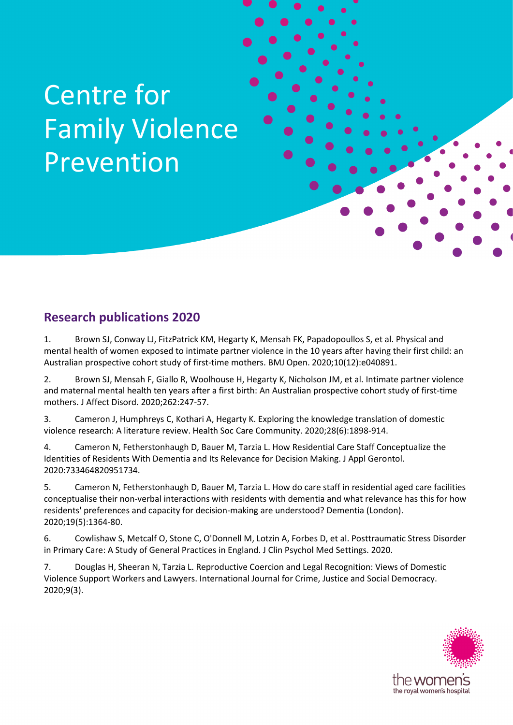## Centre for Family Violence Prevention

## **Research publications 2020**

1. Brown SJ, Conway LJ, FitzPatrick KM, Hegarty K, Mensah FK, Papadopoullos S, et al. Physical and mental health of women exposed to intimate partner violence in the 10 years after having their first child: an Australian prospective cohort study of first-time mothers. BMJ Open. 2020;10(12):e040891.

Centre for Family Violence Prevention Publications 2020

2. Brown SJ, Mensah F, Giallo R, Woolhouse H, Hegarty K, Nicholson JM, et al. Intimate partner violence and maternal mental health ten years after a first birth: An Australian prospective cohort study of first-time mothers. J Affect Disord. 2020;262:247-57.

3. Cameron J, Humphreys C, Kothari A, Hegarty K. Exploring the knowledge translation of domestic violence research: A literature review. Health Soc Care Community. 2020;28(6):1898-914.

4. Cameron N, Fetherstonhaugh D, Bauer M, Tarzia L. How Residential Care Staff Conceptualize the Identities of Residents With Dementia and Its Relevance for Decision Making. J Appl Gerontol. 2020:733464820951734.

5. Cameron N, Fetherstonhaugh D, Bauer M, Tarzia L. How do care staff in residential aged care facilities conceptualise their non-verbal interactions with residents with dementia and what relevance has this for how residents' preferences and capacity for decision-making are understood? Dementia (London). 2020;19(5):1364-80.

6. Cowlishaw S, Metcalf O, Stone C, O'Donnell M, Lotzin A, Forbes D, et al. Posttraumatic Stress Disorder in Primary Care: A Study of General Practices in England. J Clin Psychol Med Settings. 2020.

7. Douglas H, Sheeran N, Tarzia L. Reproductive Coercion and Legal Recognition: Views of Domestic Violence Support Workers and Lawyers. International Journal for Crime, Justice and Social Democracy. 2020;9(3).

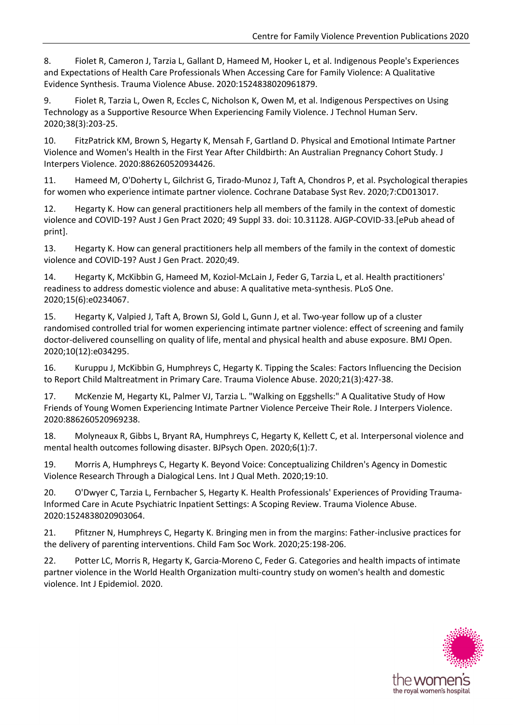8. Fiolet R, Cameron J, Tarzia L, Gallant D, Hameed M, Hooker L, et al. Indigenous People's Experiences and Expectations of Health Care Professionals When Accessing Care for Family Violence: A Qualitative Evidence Synthesis. Trauma Violence Abuse. 2020:1524838020961879.

9. Fiolet R, Tarzia L, Owen R, Eccles C, Nicholson K, Owen M, et al. Indigenous Perspectives on Using Technology as a Supportive Resource When Experiencing Family Violence. J Technol Human Serv. 2020;38(3):203-25.

10. FitzPatrick KM, Brown S, Hegarty K, Mensah F, Gartland D. Physical and Emotional Intimate Partner Violence and Women's Health in the First Year After Childbirth: An Australian Pregnancy Cohort Study. J Interpers Violence. 2020:886260520934426.

11. Hameed M, O'Doherty L, Gilchrist G, Tirado-Munoz J, Taft A, Chondros P, et al. Psychological therapies for women who experience intimate partner violence. Cochrane Database Syst Rev. 2020;7:CD013017.

12. Hegarty K. How can general practitioners help all members of the family in the context of domestic violence and COVID-19? Aust J Gen Pract 2020; 49 Suppl 33. doi: 10.31128. AJGP-COVID-33.[ePub ahead of print].

13. Hegarty K. How can general practitioners help all members of the family in the context of domestic violence and COVID-19? Aust J Gen Pract. 2020;49.

14. Hegarty K, McKibbin G, Hameed M, Koziol-McLain J, Feder G, Tarzia L, et al. Health practitioners' readiness to address domestic violence and abuse: A qualitative meta-synthesis. PLoS One. 2020;15(6):e0234067.

15. Hegarty K, Valpied J, Taft A, Brown SJ, Gold L, Gunn J, et al. Two-year follow up of a cluster randomised controlled trial for women experiencing intimate partner violence: effect of screening and family doctor-delivered counselling on quality of life, mental and physical health and abuse exposure. BMJ Open. 2020;10(12):e034295.

16. Kuruppu J, McKibbin G, Humphreys C, Hegarty K. Tipping the Scales: Factors Influencing the Decision to Report Child Maltreatment in Primary Care. Trauma Violence Abuse. 2020;21(3):427-38.

17. McKenzie M, Hegarty KL, Palmer VJ, Tarzia L. "Walking on Eggshells:" A Qualitative Study of How Friends of Young Women Experiencing Intimate Partner Violence Perceive Their Role. J Interpers Violence. 2020:886260520969238.

18. Molyneaux R, Gibbs L, Bryant RA, Humphreys C, Hegarty K, Kellett C, et al. Interpersonal violence and mental health outcomes following disaster. BJPsych Open. 2020;6(1):7.

19. Morris A, Humphreys C, Hegarty K. Beyond Voice: Conceptualizing Children's Agency in Domestic Violence Research Through a Dialogical Lens. Int J Qual Meth. 2020;19:10.

20. O'Dwyer C, Tarzia L, Fernbacher S, Hegarty K. Health Professionals' Experiences of Providing Trauma-Informed Care in Acute Psychiatric Inpatient Settings: A Scoping Review. Trauma Violence Abuse. 2020:1524838020903064.

21. Pfitzner N, Humphreys C, Hegarty K. Bringing men in from the margins: Father-inclusive practices for the delivery of parenting interventions. Child Fam Soc Work. 2020;25:198-206.

22. Potter LC, Morris R, Hegarty K, Garcia-Moreno C, Feder G. Categories and health impacts of intimate partner violence in the World Health Organization multi-country study on women's health and domestic violence. Int J Epidemiol. 2020.